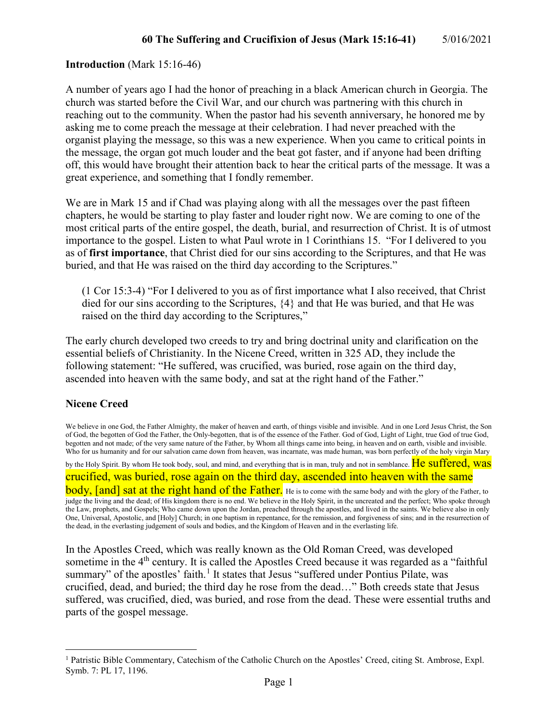## **Introduction** (Mark 15:16-46)

A number of years ago I had the honor of preaching in a black American church in Georgia. The church was started before the Civil War, and our church was partnering with this church in reaching out to the community. When the pastor had his seventh anniversary, he honored me by asking me to come preach the message at their celebration. I had never preached with the organist playing the message, so this was a new experience. When you came to critical points in the message, the organ got much louder and the beat got faster, and if anyone had been drifting off, this would have brought their attention back to hear the critical parts of the message. It was a great experience, and something that I fondly remember.

We are in Mark 15 and if Chad was playing along with all the messages over the past fifteen chapters, he would be starting to play faster and louder right now. We are coming to one of the most critical parts of the entire gospel, the death, burial, and resurrection of Christ. It is of utmost importance to the gospel. Listen to what Paul wrote in 1 Corinthians 15. "For I delivered to you as of **first importance**, that Christ died for our sins according to the Scriptures, and that He was buried, and that He was raised on the third day according to the Scriptures."

(1 Cor 15:3-4) "For I delivered to you as of first importance what I also received, that Christ died for our sins according to the Scriptures, {4} and that He was buried, and that He was raised on the third day according to the Scriptures,"

The early church developed two creeds to try and bring doctrinal unity and clarification on the essential beliefs of Christianity. In the Nicene Creed, written in 325 AD, they include the following statement: "He suffered, was crucified, was buried, rose again on the third day, ascended into heaven with the same body, and sat at the right hand of the Father."

## **Nicene Creed**

We believe in one God, the Father Almighty, the maker of heaven and earth, of things visible and invisible. And in one Lord Jesus Christ, the Son of God, the begotten of God the Father, the Only-begotten, that is of the essence of the Father. God of God, Light of Light, true God of true God, begotten and not made; of the very same nature of the Father, by Whom all things came into being, in heaven and on earth, visible and invisible. Who for us humanity and for our salvation came down from heaven, was incarnate, was made human, was born perfectly of the holy virgin Mary

by the Holy Spirit. By whom He took body, soul, and mind, and everything that is in man, truly and not in semblance. He suffered, was crucified, was buried, rose again on the third day, ascended into heaven with the same body, [and] sat at the right hand of the Father. He is to come with the same body and with the glory of the Father, to judge the living and the dead; of His kingdom there is no end. We believe in the Holy Spirit, in the uncreated and the perfect; Who spoke through the Law, prophets, and Gospels; Who came down upon the Jordan, preached through the apostles, and lived in the saints. We believe also in only One, Universal, Apostolic, and [Holy] Church; in one baptism in repentance, for the remission, and forgiveness of sins; and in the resurrection of the dead, in the everlasting judgement of souls and bodies, and the Kingdom of Heaven and in the everlasting life.

In the Apostles Creed, which was really known as the Old Roman Creed, was developed sometime in the 4<sup>th</sup> century. It is called the Apostles Creed because it was regarded as a "faithful summary" of the apostles' faith.<sup>[1](#page-0-0)</sup> It states that Jesus "suffered under Pontius Pilate, was crucified, dead, and buried; the third day he rose from the dead…" Both creeds state that Jesus suffered, was crucified, died, was buried, and rose from the dead. These were essential truths and parts of the gospel message.

<span id="page-0-0"></span> <sup>1</sup> Patristic Bible Commentary, Catechism of the Catholic Church on the Apostles' Creed, citing St. Ambrose, Expl. Symb. 7: PL 17, 1196.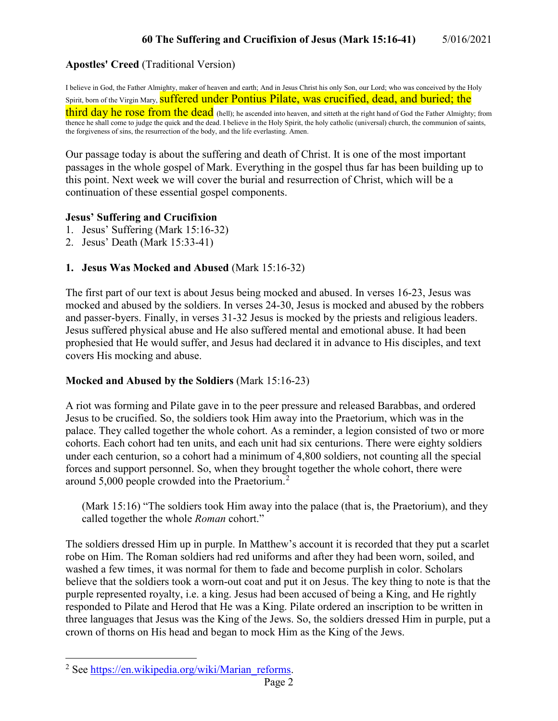# **Apostles' Creed** (Traditional Version)

I believe in God, the Father Almighty, maker of heaven and earth; And in Jesus Christ his only Son, our Lord; who was conceived by the Holy Spirit, born of the Virgin Mary, **suffered under Pontius Pilate, was crucified, dead, and buried; the** third day he rose from the dead (hell); he ascended into heaven, and sitteth at the right hand of God the Father Almighty; from thence he shall come to judge the quick and the dead. I believe in the Holy Spirit, the holy catholic (universal) church, the communion of saints, the forgiveness of sins, the resurrection of the body, and the life everlasting. Amen.

Our passage today is about the suffering and death of Christ. It is one of the most important passages in the whole gospel of Mark. Everything in the gospel thus far has been building up to this point. Next week we will cover the burial and resurrection of Christ, which will be a continuation of these essential gospel components.

#### **Jesus' Suffering and Crucifixion**

- 1. Jesus' Suffering (Mark 15:16-32)
- 2. Jesus' Death (Mark 15:33-41)

### **1. Jesus Was Mocked and Abused** (Mark 15:16-32)

The first part of our text is about Jesus being mocked and abused. In verses 16-23, Jesus was mocked and abused by the soldiers. In verses 24-30, Jesus is mocked and abused by the robbers and passer-byers. Finally, in verses 31-32 Jesus is mocked by the priests and religious leaders. Jesus suffered physical abuse and He also suffered mental and emotional abuse. It had been prophesied that He would suffer, and Jesus had declared it in advance to His disciples, and text covers His mocking and abuse.

#### **Mocked and Abused by the Soldiers** (Mark 15:16-23)

A riot was forming and Pilate gave in to the peer pressure and released Barabbas, and ordered Jesus to be crucified. So, the soldiers took Him away into the Praetorium, which was in the palace. They called together the whole cohort. As a reminder, a legion consisted of two or more cohorts. Each cohort had ten units, and each unit had six centurions. There were eighty soldiers under each centurion, so a cohort had a minimum of 4,800 soldiers, not counting all the special forces and support personnel. So, when they brought together the whole cohort, there were around 5,000 people crowded into the Praetorium.[2](#page-1-0)

(Mark 15:16) "The soldiers took Him away into the palace (that is, the Praetorium), and they called together the whole *Roman* cohort."

The soldiers dressed Him up in purple. In Matthew's account it is recorded that they put a scarlet robe on Him. The Roman soldiers had red uniforms and after they had been worn, soiled, and washed a few times, it was normal for them to fade and become purplish in color. Scholars believe that the soldiers took a worn-out coat and put it on Jesus. The key thing to note is that the purple represented royalty, i.e. a king. Jesus had been accused of being a King, and He rightly responded to Pilate and Herod that He was a King. Pilate ordered an inscription to be written in three languages that Jesus was the King of the Jews. So, the soldiers dressed Him in purple, put a crown of thorns on His head and began to mock Him as the King of the Jews.

<span id="page-1-0"></span> $2$  See [https://en.wikipedia.org/wiki/Marian\\_reforms.](https://en.wikipedia.org/wiki/Marian_reforms)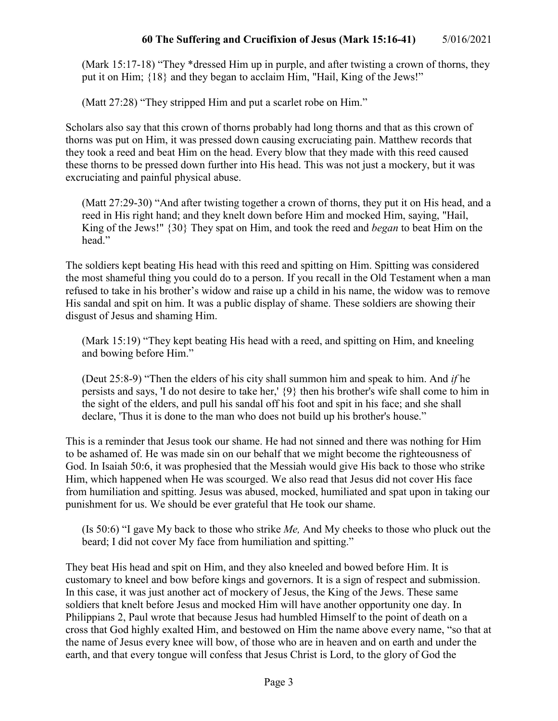(Mark 15:17-18) "They \*dressed Him up in purple, and after twisting a crown of thorns, they put it on Him; {18} and they began to acclaim Him, "Hail, King of the Jews!"

(Matt 27:28) "They stripped Him and put a scarlet robe on Him."

Scholars also say that this crown of thorns probably had long thorns and that as this crown of thorns was put on Him, it was pressed down causing excruciating pain. Matthew records that they took a reed and beat Him on the head. Every blow that they made with this reed caused these thorns to be pressed down further into His head. This was not just a mockery, but it was excruciating and painful physical abuse.

(Matt 27:29-30) "And after twisting together a crown of thorns, they put it on His head, and a reed in His right hand; and they knelt down before Him and mocked Him, saying, "Hail, King of the Jews!" {30} They spat on Him, and took the reed and *began* to beat Him on the head."

The soldiers kept beating His head with this reed and spitting on Him. Spitting was considered the most shameful thing you could do to a person. If you recall in the Old Testament when a man refused to take in his brother's widow and raise up a child in his name, the widow was to remove His sandal and spit on him. It was a public display of shame. These soldiers are showing their disgust of Jesus and shaming Him.

(Mark 15:19) "They kept beating His head with a reed, and spitting on Him, and kneeling and bowing before Him."

(Deut 25:8-9) "Then the elders of his city shall summon him and speak to him. And *if* he persists and says, 'I do not desire to take her,' {9} then his brother's wife shall come to him in the sight of the elders, and pull his sandal off his foot and spit in his face; and she shall declare, 'Thus it is done to the man who does not build up his brother's house."

This is a reminder that Jesus took our shame. He had not sinned and there was nothing for Him to be ashamed of. He was made sin on our behalf that we might become the righteousness of God. In Isaiah 50:6, it was prophesied that the Messiah would give His back to those who strike Him, which happened when He was scourged. We also read that Jesus did not cover His face from humiliation and spitting. Jesus was abused, mocked, humiliated and spat upon in taking our punishment for us. We should be ever grateful that He took our shame.

(Is 50:6) "I gave My back to those who strike *Me,* And My cheeks to those who pluck out the beard; I did not cover My face from humiliation and spitting."

They beat His head and spit on Him, and they also kneeled and bowed before Him. It is customary to kneel and bow before kings and governors. It is a sign of respect and submission. In this case, it was just another act of mockery of Jesus, the King of the Jews. These same soldiers that knelt before Jesus and mocked Him will have another opportunity one day. In Philippians 2, Paul wrote that because Jesus had humbled Himself to the point of death on a cross that God highly exalted Him, and bestowed on Him the name above every name, "so that at the name of Jesus every knee will bow, of those who are in heaven and on earth and under the earth, and that every tongue will confess that Jesus Christ is Lord, to the glory of God the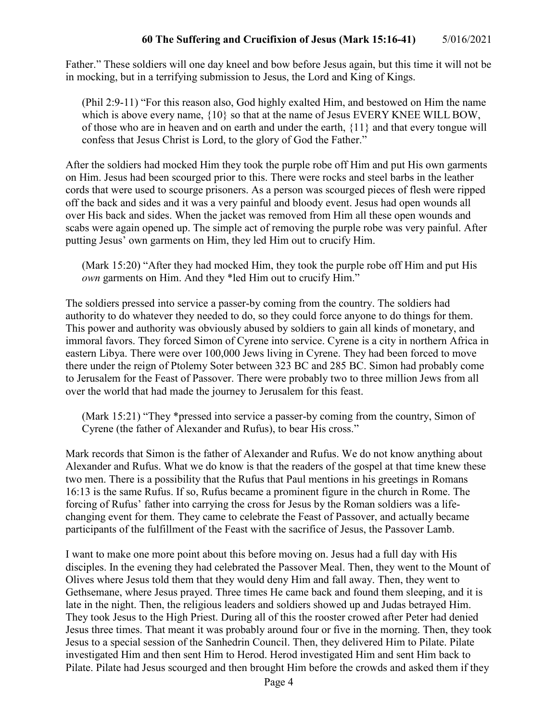Father." These soldiers will one day kneel and bow before Jesus again, but this time it will not be in mocking, but in a terrifying submission to Jesus, the Lord and King of Kings.

(Phil 2:9-11) "For this reason also, God highly exalted Him, and bestowed on Him the name which is above every name,  ${10}$  so that at the name of Jesus EVERY KNEE WILL BOW, of those who are in heaven and on earth and under the earth, {11} and that every tongue will confess that Jesus Christ is Lord, to the glory of God the Father."

After the soldiers had mocked Him they took the purple robe off Him and put His own garments on Him. Jesus had been scourged prior to this. There were rocks and steel barbs in the leather cords that were used to scourge prisoners. As a person was scourged pieces of flesh were ripped off the back and sides and it was a very painful and bloody event. Jesus had open wounds all over His back and sides. When the jacket was removed from Him all these open wounds and scabs were again opened up. The simple act of removing the purple robe was very painful. After putting Jesus' own garments on Him, they led Him out to crucify Him.

(Mark 15:20) "After they had mocked Him, they took the purple robe off Him and put His *own* garments on Him. And they \*led Him out to crucify Him."

The soldiers pressed into service a passer-by coming from the country. The soldiers had authority to do whatever they needed to do, so they could force anyone to do things for them. This power and authority was obviously abused by soldiers to gain all kinds of monetary, and immoral favors. They forced Simon of Cyrene into service. Cyrene is a city in northern Africa in eastern Libya. There were over 100,000 Jews living in Cyrene. They had been forced to move there under the reign of Ptolemy Soter between 323 BC and 285 BC. Simon had probably come to Jerusalem for the Feast of Passover. There were probably two to three million Jews from all over the world that had made the journey to Jerusalem for this feast.

(Mark 15:21) "They \*pressed into service a passer-by coming from the country, Simon of Cyrene (the father of Alexander and Rufus), to bear His cross."

Mark records that Simon is the father of Alexander and Rufus. We do not know anything about Alexander and Rufus. What we do know is that the readers of the gospel at that time knew these two men. There is a possibility that the Rufus that Paul mentions in his greetings in Romans 16:13 is the same Rufus. If so, Rufus became a prominent figure in the church in Rome. The forcing of Rufus' father into carrying the cross for Jesus by the Roman soldiers was a lifechanging event for them. They came to celebrate the Feast of Passover, and actually became participants of the fulfillment of the Feast with the sacrifice of Jesus, the Passover Lamb.

I want to make one more point about this before moving on. Jesus had a full day with His disciples. In the evening they had celebrated the Passover Meal. Then, they went to the Mount of Olives where Jesus told them that they would deny Him and fall away. Then, they went to Gethsemane, where Jesus prayed. Three times He came back and found them sleeping, and it is late in the night. Then, the religious leaders and soldiers showed up and Judas betrayed Him. They took Jesus to the High Priest. During all of this the rooster crowed after Peter had denied Jesus three times. That meant it was probably around four or five in the morning. Then, they took Jesus to a special session of the Sanhedrin Council. Then, they delivered Him to Pilate. Pilate investigated Him and then sent Him to Herod. Herod investigated Him and sent Him back to Pilate. Pilate had Jesus scourged and then brought Him before the crowds and asked them if they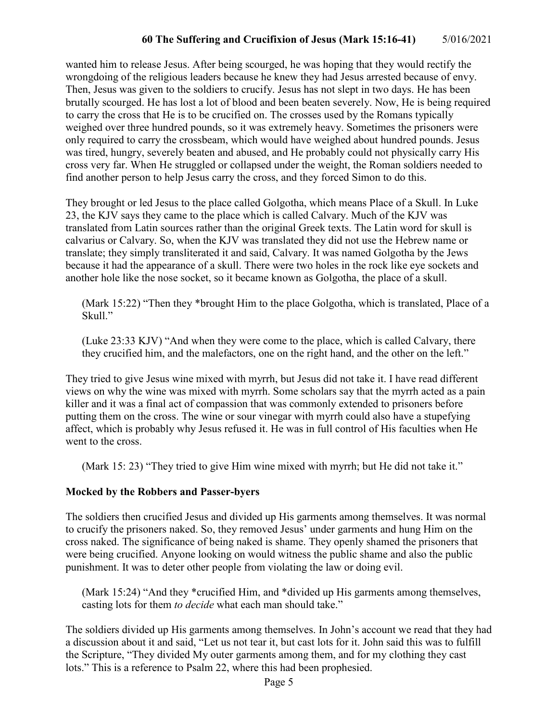wanted him to release Jesus. After being scourged, he was hoping that they would rectify the wrongdoing of the religious leaders because he knew they had Jesus arrested because of envy. Then, Jesus was given to the soldiers to crucify. Jesus has not slept in two days. He has been brutally scourged. He has lost a lot of blood and been beaten severely. Now, He is being required to carry the cross that He is to be crucified on. The crosses used by the Romans typically weighed over three hundred pounds, so it was extremely heavy. Sometimes the prisoners were only required to carry the crossbeam, which would have weighed about hundred pounds. Jesus was tired, hungry, severely beaten and abused, and He probably could not physically carry His cross very far. When He struggled or collapsed under the weight, the Roman soldiers needed to find another person to help Jesus carry the cross, and they forced Simon to do this.

They brought or led Jesus to the place called Golgotha, which means Place of a Skull. In Luke 23, the KJV says they came to the place which is called Calvary. Much of the KJV was translated from Latin sources rather than the original Greek texts. The Latin word for skull is calvarius or Calvary. So, when the KJV was translated they did not use the Hebrew name or translate; they simply transliterated it and said, Calvary. It was named Golgotha by the Jews because it had the appearance of a skull. There were two holes in the rock like eye sockets and another hole like the nose socket, so it became known as Golgotha, the place of a skull.

(Mark 15:22) "Then they \*brought Him to the place Golgotha, which is translated, Place of a Skull."

(Luke 23:33 KJV) "And when they were come to the place, which is called Calvary, there they crucified him, and the malefactors, one on the right hand, and the other on the left."

They tried to give Jesus wine mixed with myrrh, but Jesus did not take it. I have read different views on why the wine was mixed with myrrh. Some scholars say that the myrrh acted as a pain killer and it was a final act of compassion that was commonly extended to prisoners before putting them on the cross. The wine or sour vinegar with myrrh could also have a stupefying affect, which is probably why Jesus refused it. He was in full control of His faculties when He went to the cross.

(Mark 15: 23) "They tried to give Him wine mixed with myrrh; but He did not take it."

#### **Mocked by the Robbers and Passer-byers**

The soldiers then crucified Jesus and divided up His garments among themselves. It was normal to crucify the prisoners naked. So, they removed Jesus' under garments and hung Him on the cross naked. The significance of being naked is shame. They openly shamed the prisoners that were being crucified. Anyone looking on would witness the public shame and also the public punishment. It was to deter other people from violating the law or doing evil.

(Mark 15:24) "And they \*crucified Him, and \*divided up His garments among themselves, casting lots for them *to decide* what each man should take."

The soldiers divided up His garments among themselves. In John's account we read that they had a discussion about it and said, "Let us not tear it, but cast lots for it. John said this was to fulfill the Scripture, "They divided My outer garments among them, and for my clothing they cast lots." This is a reference to Psalm 22, where this had been prophesied.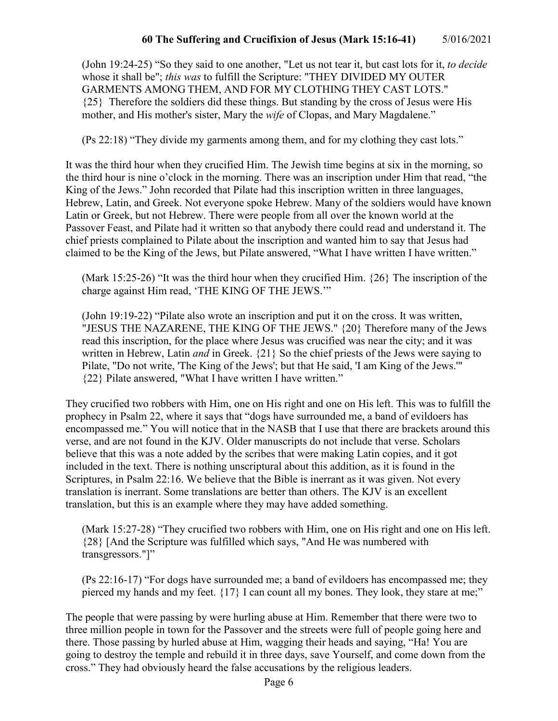(John 19:24-25) "So they said to one another, "Let us not tear it, but cast lots for it, *to decide* whose it shall be"; *this was* to fulfill the Scripture: "THEY DIVIDED MY OUTER GARMENTS AMONG THEM, AND FOR MY CLOTHING THEY CAST LOTS." {25} Therefore the soldiers did these things. But standing by the cross of Jesus were His mother, and His mother's sister, Mary the *wife* of Clopas, and Mary Magdalene."

(Ps 22:18) "They divide my garments among them, and for my clothing they cast lots."

It was the third hour when they crucified Him. The Jewish time begins at six in the morning, so the third hour is nine o'clock in the morning. There was an inscription under Him that read, "the King of the Jews." John recorded that Pilate had this inscription written in three languages, Hebrew, Latin, and Greek. Not everyone spoke Hebrew. Many of the soldiers would have known Latin or Greek, but not Hebrew. There were people from all over the known world at the Passover Feast, and Pilate had it written so that anybody there could read and understand it. The chief priests complained to Pilate about the inscription and wanted him to say that Jesus had claimed to be the King of the Jews, but Pilate answered, "What I have written I have written."

(Mark 15:25-26) "It was the third hour when they crucified Him. {26} The inscription of the charge against Him read, 'THE KING OF THE JEWS.'"

(John 19:19-22) "Pilate also wrote an inscription and put it on the cross. It was written, "JESUS THE NAZARENE, THE KING OF THE JEWS." {20} Therefore many of the Jews read this inscription, for the place where Jesus was crucified was near the city; and it was written in Hebrew, Latin *and* in Greek. {21} So the chief priests of the Jews were saying to Pilate, "Do not write, 'The King of the Jews'; but that He said, 'I am King of the Jews.'" {22} Pilate answered, "What I have written I have written."

They crucified two robbers with Him, one on His right and one on His left. This was to fulfill the prophecy in Psalm 22, where it says that "dogs have surrounded me, a band of evildoers has encompassed me." You will notice that in the NASB that I use that there are brackets around this verse, and are not found in the KJV. Older manuscripts do not include that verse. Scholars believe that this was a note added by the scribes that were making Latin copies, and it got included in the text. There is nothing unscriptural about this addition, as it is found in the Scriptures, in Psalm 22:16. We believe that the Bible is inerrant as it was given. Not every translation is inerrant. Some translations are better than others. The KJV is an excellent translation, but this is an example where they may have added something.

(Mark 15:27-28) "They crucified two robbers with Him, one on His right and one on His left. {28} [And the Scripture was fulfilled which says, "And He was numbered with transgressors."]"

(Ps 22:16-17) "For dogs have surrounded me; a band of evildoers has encompassed me; they pierced my hands and my feet. {17} I can count all my bones. They look, they stare at me;"

The people that were passing by were hurling abuse at Him. Remember that there were two to three million people in town for the Passover and the streets were full of people going here and there. Those passing by hurled abuse at Him, wagging their heads and saying, "Ha! You are going to destroy the temple and rebuild it in three days, save Yourself, and come down from the cross." They had obviously heard the false accusations by the religious leaders.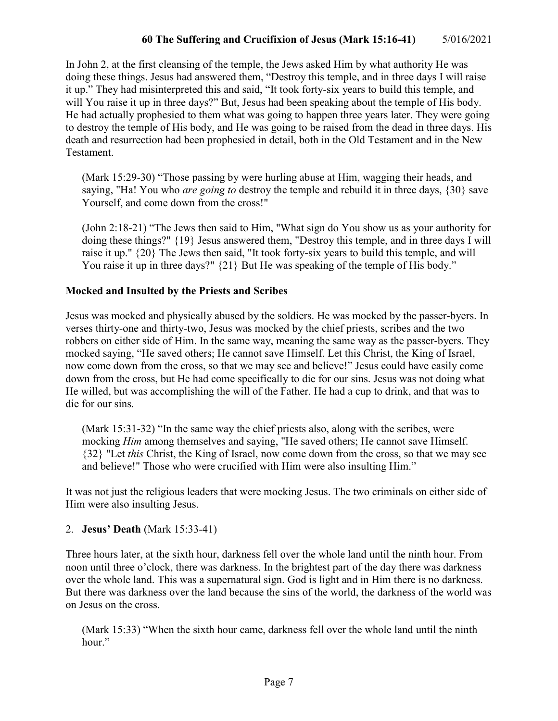In John 2, at the first cleansing of the temple, the Jews asked Him by what authority He was doing these things. Jesus had answered them, "Destroy this temple, and in three days I will raise it up." They had misinterpreted this and said, "It took forty-six years to build this temple, and will You raise it up in three days?" But, Jesus had been speaking about the temple of His body. He had actually prophesied to them what was going to happen three years later. They were going to destroy the temple of His body, and He was going to be raised from the dead in three days. His death and resurrection had been prophesied in detail, both in the Old Testament and in the New Testament.

(Mark 15:29-30) "Those passing by were hurling abuse at Him, wagging their heads, and saying, "Ha! You who *are going to* destroy the temple and rebuild it in three days, {30} save Yourself, and come down from the cross!"

(John 2:18-21) "The Jews then said to Him, "What sign do You show us as your authority for doing these things?" {19} Jesus answered them, "Destroy this temple, and in three days I will raise it up." {20} The Jews then said, "It took forty-six years to build this temple, and will You raise it up in three days?"  $\{21\}$  But He was speaking of the temple of His body."

### **Mocked and Insulted by the Priests and Scribes**

Jesus was mocked and physically abused by the soldiers. He was mocked by the passer-byers. In verses thirty-one and thirty-two, Jesus was mocked by the chief priests, scribes and the two robbers on either side of Him. In the same way, meaning the same way as the passer-byers. They mocked saying, "He saved others; He cannot save Himself. Let this Christ, the King of Israel, now come down from the cross, so that we may see and believe!" Jesus could have easily come down from the cross, but He had come specifically to die for our sins. Jesus was not doing what He willed, but was accomplishing the will of the Father. He had a cup to drink, and that was to die for our sins.

(Mark 15:31-32) "In the same way the chief priests also, along with the scribes, were mocking *Him* among themselves and saying, "He saved others; He cannot save Himself. {32} "Let *this* Christ, the King of Israel, now come down from the cross, so that we may see and believe!" Those who were crucified with Him were also insulting Him."

It was not just the religious leaders that were mocking Jesus. The two criminals on either side of Him were also insulting Jesus.

2. **Jesus' Death** (Mark 15:33-41)

Three hours later, at the sixth hour, darkness fell over the whole land until the ninth hour. From noon until three o'clock, there was darkness. In the brightest part of the day there was darkness over the whole land. This was a supernatural sign. God is light and in Him there is no darkness. But there was darkness over the land because the sins of the world, the darkness of the world was on Jesus on the cross.

(Mark 15:33) "When the sixth hour came, darkness fell over the whole land until the ninth hour."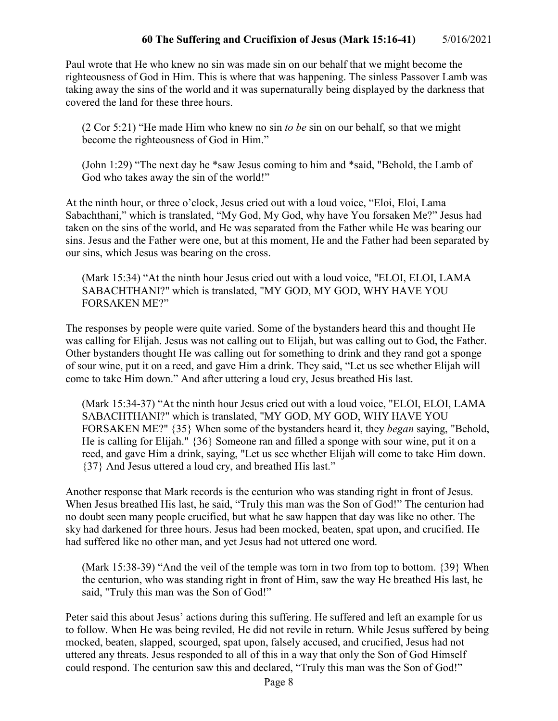Paul wrote that He who knew no sin was made sin on our behalf that we might become the righteousness of God in Him. This is where that was happening. The sinless Passover Lamb was taking away the sins of the world and it was supernaturally being displayed by the darkness that covered the land for these three hours.

(2 Cor 5:21) "He made Him who knew no sin *to be* sin on our behalf, so that we might become the righteousness of God in Him."

(John 1:29) "The next day he \*saw Jesus coming to him and \*said, "Behold, the Lamb of God who takes away the sin of the world!"

At the ninth hour, or three o'clock, Jesus cried out with a loud voice, "Eloi, Eloi, Lama Sabachthani," which is translated, "My God, My God, why have You forsaken Me?" Jesus had taken on the sins of the world, and He was separated from the Father while He was bearing our sins. Jesus and the Father were one, but at this moment, He and the Father had been separated by our sins, which Jesus was bearing on the cross.

(Mark 15:34) "At the ninth hour Jesus cried out with a loud voice, "ELOI, ELOI, LAMA SABACHTHANI?" which is translated, "MY GOD, MY GOD, WHY HAVE YOU FORSAKEN ME?"

The responses by people were quite varied. Some of the bystanders heard this and thought He was calling for Elijah. Jesus was not calling out to Elijah, but was calling out to God, the Father. Other bystanders thought He was calling out for something to drink and they rand got a sponge of sour wine, put it on a reed, and gave Him a drink. They said, "Let us see whether Elijah will come to take Him down." And after uttering a loud cry, Jesus breathed His last.

(Mark 15:34-37) "At the ninth hour Jesus cried out with a loud voice, "ELOI, ELOI, LAMA SABACHTHANI?" which is translated, "MY GOD, MY GOD, WHY HAVE YOU FORSAKEN ME?" {35} When some of the bystanders heard it, they *began* saying, "Behold, He is calling for Elijah." {36} Someone ran and filled a sponge with sour wine, put it on a reed, and gave Him a drink, saying, "Let us see whether Elijah will come to take Him down. {37} And Jesus uttered a loud cry, and breathed His last."

Another response that Mark records is the centurion who was standing right in front of Jesus. When Jesus breathed His last, he said, "Truly this man was the Son of God!" The centurion had no doubt seen many people crucified, but what he saw happen that day was like no other. The sky had darkened for three hours. Jesus had been mocked, beaten, spat upon, and crucified. He had suffered like no other man, and yet Jesus had not uttered one word.

(Mark 15:38-39) "And the veil of the temple was torn in two from top to bottom. {39} When the centurion, who was standing right in front of Him, saw the way He breathed His last, he said, "Truly this man was the Son of God!"

Peter said this about Jesus' actions during this suffering. He suffered and left an example for us to follow. When He was being reviled, He did not revile in return. While Jesus suffered by being mocked, beaten, slapped, scourged, spat upon, falsely accused, and crucified, Jesus had not uttered any threats. Jesus responded to all of this in a way that only the Son of God Himself could respond. The centurion saw this and declared, "Truly this man was the Son of God!"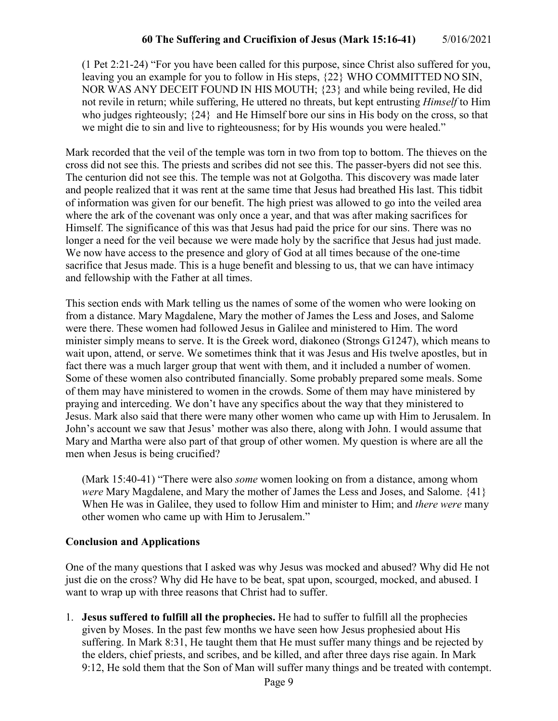(1 Pet 2:21-24) "For you have been called for this purpose, since Christ also suffered for you, leaving you an example for you to follow in His steps, {22} WHO COMMITTED NO SIN, NOR WAS ANY DECEIT FOUND IN HIS MOUTH; {23} and while being reviled, He did not revile in return; while suffering, He uttered no threats, but kept entrusting *Himself* to Him who judges righteously; {24} and He Himself bore our sins in His body on the cross, so that we might die to sin and live to righteousness; for by His wounds you were healed."

Mark recorded that the veil of the temple was torn in two from top to bottom. The thieves on the cross did not see this. The priests and scribes did not see this. The passer-byers did not see this. The centurion did not see this. The temple was not at Golgotha. This discovery was made later and people realized that it was rent at the same time that Jesus had breathed His last. This tidbit of information was given for our benefit. The high priest was allowed to go into the veiled area where the ark of the covenant was only once a year, and that was after making sacrifices for Himself. The significance of this was that Jesus had paid the price for our sins. There was no longer a need for the veil because we were made holy by the sacrifice that Jesus had just made. We now have access to the presence and glory of God at all times because of the one-time sacrifice that Jesus made. This is a huge benefit and blessing to us, that we can have intimacy and fellowship with the Father at all times.

This section ends with Mark telling us the names of some of the women who were looking on from a distance. Mary Magdalene, Mary the mother of James the Less and Joses, and Salome were there. These women had followed Jesus in Galilee and ministered to Him. The word minister simply means to serve. It is the Greek word, diakoneo (Strongs G1247), which means to wait upon, attend, or serve. We sometimes think that it was Jesus and His twelve apostles, but in fact there was a much larger group that went with them, and it included a number of women. Some of these women also contributed financially. Some probably prepared some meals. Some of them may have ministered to women in the crowds. Some of them may have ministered by praying and interceding. We don't have any specifics about the way that they ministered to Jesus. Mark also said that there were many other women who came up with Him to Jerusalem. In John's account we saw that Jesus' mother was also there, along with John. I would assume that Mary and Martha were also part of that group of other women. My question is where are all the men when Jesus is being crucified?

(Mark 15:40-41) "There were also *some* women looking on from a distance, among whom *were* Mary Magdalene, and Mary the mother of James the Less and Joses, and Salome. {41} When He was in Galilee, they used to follow Him and minister to Him; and *there were* many other women who came up with Him to Jerusalem."

## **Conclusion and Applications**

One of the many questions that I asked was why Jesus was mocked and abused? Why did He not just die on the cross? Why did He have to be beat, spat upon, scourged, mocked, and abused. I want to wrap up with three reasons that Christ had to suffer.

1. **Jesus suffered to fulfill all the prophecies.** He had to suffer to fulfill all the prophecies given by Moses. In the past few months we have seen how Jesus prophesied about His suffering. In Mark 8:31, He taught them that He must suffer many things and be rejected by the elders, chief priests, and scribes, and be killed, and after three days rise again. In Mark 9:12, He sold them that the Son of Man will suffer many things and be treated with contempt.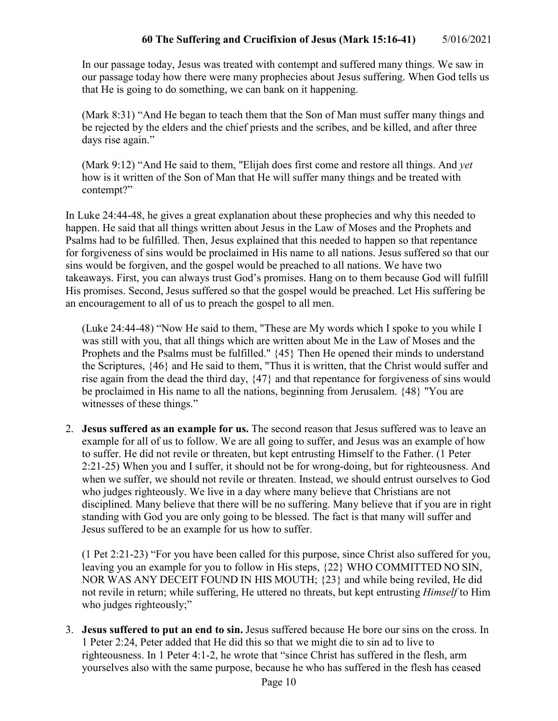In our passage today, Jesus was treated with contempt and suffered many things. We saw in our passage today how there were many prophecies about Jesus suffering. When God tells us that He is going to do something, we can bank on it happening.

(Mark 8:31) "And He began to teach them that the Son of Man must suffer many things and be rejected by the elders and the chief priests and the scribes, and be killed, and after three days rise again."

(Mark 9:12) "And He said to them, "Elijah does first come and restore all things. And *yet* how is it written of the Son of Man that He will suffer many things and be treated with contempt?"

In Luke 24:44-48, he gives a great explanation about these prophecies and why this needed to happen. He said that all things written about Jesus in the Law of Moses and the Prophets and Psalms had to be fulfilled. Then, Jesus explained that this needed to happen so that repentance for forgiveness of sins would be proclaimed in His name to all nations. Jesus suffered so that our sins would be forgiven, and the gospel would be preached to all nations. We have two takeaways. First, you can always trust God's promises. Hang on to them because God will fulfill His promises. Second, Jesus suffered so that the gospel would be preached. Let His suffering be an encouragement to all of us to preach the gospel to all men.

(Luke 24:44-48) "Now He said to them, "These are My words which I spoke to you while I was still with you, that all things which are written about Me in the Law of Moses and the Prophets and the Psalms must be fulfilled." {45} Then He opened their minds to understand the Scriptures, {46} and He said to them, "Thus it is written, that the Christ would suffer and rise again from the dead the third day, {47} and that repentance for forgiveness of sins would be proclaimed in His name to all the nations, beginning from Jerusalem. {48} "You are witnesses of these things."

2. **Jesus suffered as an example for us.** The second reason that Jesus suffered was to leave an example for all of us to follow. We are all going to suffer, and Jesus was an example of how to suffer. He did not revile or threaten, but kept entrusting Himself to the Father. (1 Peter 2:21-25) When you and I suffer, it should not be for wrong-doing, but for righteousness. And when we suffer, we should not revile or threaten. Instead, we should entrust ourselves to God who judges righteously. We live in a day where many believe that Christians are not disciplined. Many believe that there will be no suffering. Many believe that if you are in right standing with God you are only going to be blessed. The fact is that many will suffer and Jesus suffered to be an example for us how to suffer.

(1 Pet 2:21-23) "For you have been called for this purpose, since Christ also suffered for you, leaving you an example for you to follow in His steps, {22} WHO COMMITTED NO SIN, NOR WAS ANY DECEIT FOUND IN HIS MOUTH; {23} and while being reviled, He did not revile in return; while suffering, He uttered no threats, but kept entrusting *Himself* to Him who judges righteously;"

3. **Jesus suffered to put an end to sin.** Jesus suffered because He bore our sins on the cross. In 1 Peter 2:24, Peter added that He did this so that we might die to sin ad to live to righteousness. In 1 Peter 4:1-2, he wrote that "since Christ has suffered in the flesh, arm yourselves also with the same purpose, because he who has suffered in the flesh has ceased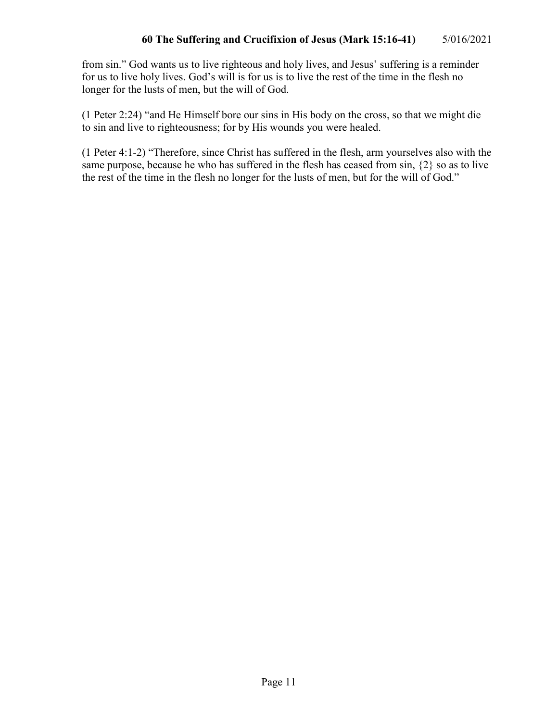from sin." God wants us to live righteous and holy lives, and Jesus' suffering is a reminder for us to live holy lives. God's will is for us is to live the rest of the time in the flesh no longer for the lusts of men, but the will of God.

(1 Peter 2:24) "and He Himself bore our sins in His body on the cross, so that we might die to sin and live to righteousness; for by His wounds you were healed.

(1 Peter 4:1-2) "Therefore, since Christ has suffered in the flesh, arm yourselves also with the same purpose, because he who has suffered in the flesh has ceased from sin, {2} so as to live the rest of the time in the flesh no longer for the lusts of men, but for the will of God."